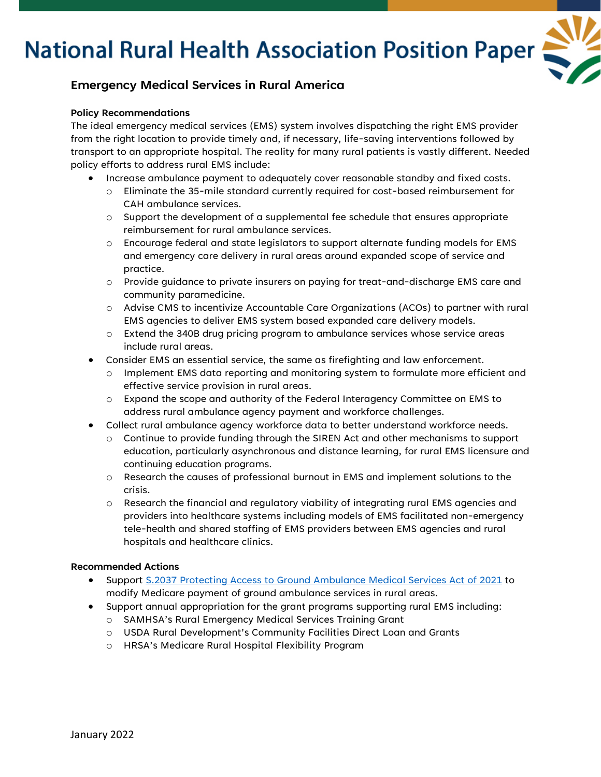# **National Rural Health Association Position Paper**



### **Emergency Medical Services in Rural America**

### **Policy Recommendations**

The ideal emergency medical services (EMS) system involves dispatching the right EMS provider from the right location to provide timely and, if necessary, life-saving interventions followed by transport to an appropriate hospital. The reality for many rural patients is vastly different. Needed policy efforts to address rural EMS include:

- Increase ambulance payment to adequately cover reasonable standby and fixed costs.
	- o Eliminate the 35-mile standard currently required for cost-based reimbursement for CAH ambulance services.
	- $\circ$  Support the development of a supplemental fee schedule that ensures appropriate reimbursement for rural ambulance services.
	- o Encourage federal and state legislators to support alternate funding models for EMS and emergency care delivery in rural areas around expanded scope of service and practice.
	- o Provide guidance to private insurers on paying for treat-and-discharge EMS care and community paramedicine.
	- o Advise CMS to incentivize Accountable Care Organizations (ACOs) to partner with rural EMS agencies to deliver EMS system based expanded care delivery models.
	- o Extend the 340B drug pricing program to ambulance services whose service areas include rural areas.
- Consider EMS an essential service, the same as firefighting and law enforcement.
	- o Implement EMS data reporting and monitoring system to formulate more efficient and effective service provision in rural areas.
	- o Expand the scope and authority of the Federal Interagency Committee on EMS to address rural ambulance agency payment and workforce challenges.
- Collect rural ambulance agency workforce data to better understand workforce needs.
	- o Continue to provide funding through the SIREN Act and other mechanisms to support education, particularly asynchronous and distance learning, for rural EMS licensure and continuing education programs.
	- o Research the causes of professional burnout in EMS and implement solutions to the crisis.
	- o Research the financial and regulatory viability of integrating rural EMS agencies and providers into healthcare systems including models of EMS facilitated non-emergency tele-health and shared staffing of EMS providers between EMS agencies and rural hospitals and healthcare clinics.

#### **Recommended Actions**

- Support S.2037 Protecting [Access to Ground Ambulance Medical Services Act of 2021](https://www.congress.gov/bill/117th-congress/house-bill/2454) to modify Medicare payment of ground ambulance services in rural areas.
- Support annual appropriation for the grant programs supporting rural EMS including:
	- o SAMHSA's Rural Emergency Medical Services Training Grant
	- o USDA Rural Development's Community Facilities Direct Loan and Grants
	- o HRSA's Medicare Rural Hospital Flexibility Program